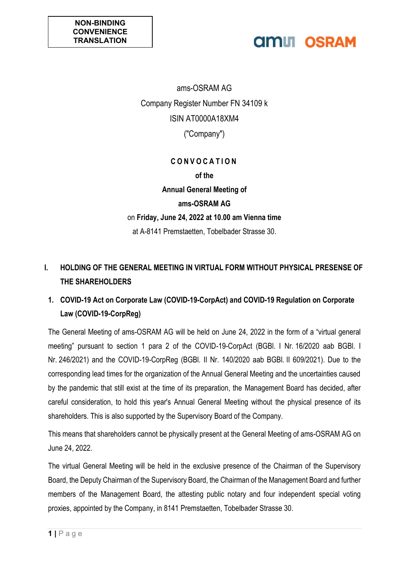## **AMILI OSRAM**

ams-OSRAM AG Company Register Number FN 34109 k ISIN AT0000A18XM4 ("Company")

### **C O N V O C A T I O N of the Annual General Meeting of ams-OSRAM AG** on **Friday, June 24, 2022 at 10.00 am Vienna time** at A-8141 Premstaetten, Tobelbader Strasse 30.

### **I. HOLDING OF THE GENERAL MEETING IN VIRTUAL FORM WITHOUT PHYSICAL PRESENSE OF THE SHAREHOLDERS**

### **1. COVID-19 Act on Corporate Law (COVID-19-CorpAct) and COVID-19 Regulation on Corporate Law (COVID-19-CorpReg)**

The General Meeting of ams-OSRAM AG will be held on June 24, 2022 in the form of a "virtual general meeting" pursuant to section 1 para 2 of the COVID-19-CorpAct (BGBl. I Nr. 16/2020 aab BGBl. I Nr. 246/2021) and the COVID-19-CorpReg (BGBl. II Nr. 140/2020 aab BGBl. II 609/2021). Due to the corresponding lead times for the organization of the Annual General Meeting and the uncertainties caused by the pandemic that still exist at the time of its preparation, the Management Board has decided, after careful consideration, to hold this year's Annual General Meeting without the physical presence of its shareholders. This is also supported by the Supervisory Board of the Company.

This means that shareholders cannot be physically present at the General Meeting of ams-OSRAM AG on June 24, 2022.

The virtual General Meeting will be held in the exclusive presence of the Chairman of the Supervisory Board, the Deputy Chairman of the Supervisory Board, the Chairman of the Management Board and further members of the Management Board, the attesting public notary and four independent special voting proxies, appointed by the Company, in 8141 Premstaetten, Tobelbader Strasse 30.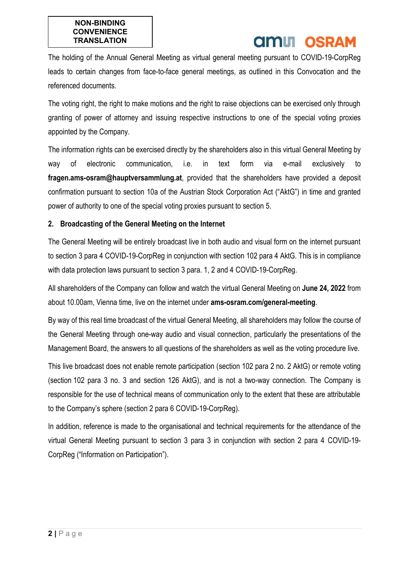# **amili osram**

The holding of the Annual General Meeting as virtual general meeting pursuant to COVID-19-CorpReg leads to certain changes from face-to-face general meetings, as outlined in this Convocation and the referenced documents.

The voting right, the right to make motions and the right to raise objections can be exercised only through granting of power of attorney and issuing respective instructions to one of the special voting proxies appointed by the Company.

The information rights can be exercised directly by the shareholders also in this virtual General Meeting by way of electronic communication, i.e. in text form via e-mail exclusively to **fragen.ams-osram@hauptversammlung.at**, provided that the shareholders have provided a deposit confirmation pursuant to section 10a of the Austrian Stock Corporation Act ("AktG") in time and granted power of authority to one of the special voting proxies pursuant to section 5.

#### **2. Broadcasting of the General Meeting on the Internet**

The General Meeting will be entirely broadcast live in both audio and visual form on the internet pursuant to section 3 para 4 COVID-19-CorpReg in conjunction with section 102 para 4 AktG. This is in compliance with data protection laws pursuant to section 3 para. 1, 2 and 4 COVID-19-CorpReg.

All shareholders of the Company can follow and watch the virtual General Meeting on **June 24, 2022** from about 10.00am, Vienna time, live on the internet under **ams-osram.com/general-meeting**.

By way of this real time broadcast of the virtual General Meeting, all shareholders may follow the course of the General Meeting through one-way audio and visual connection, particularly the presentations of the Management Board, the answers to all questions of the shareholders as well as the voting procedure live.

This live broadcast does not enable remote participation (section 102 para 2 no. 2 AktG) or remote voting (section 102 para 3 no. 3 and section 126 AktG), and is not a two-way connection. The Company is responsible for the use of technical means of communication only to the extent that these are attributable to the Company's sphere (section 2 para 6 COVID-19-CorpReg).

In addition, reference is made to the organisational and technical requirements for the attendance of the virtual General Meeting pursuant to section 3 para 3 in conjunction with section 2 para 4 COVID-19- CorpReg ("Information on Participation").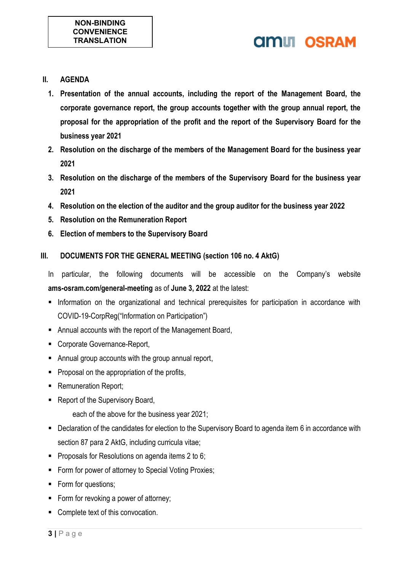# **AMIL OSRAM**

- **II. AGENDA**
	- **1. Presentation of the annual accounts, including the report of the Management Board, the corporate governance report, the group accounts together with the group annual report, the proposal for the appropriation of the profit and the report of the Supervisory Board for the business year 2021**
	- **2. Resolution on the discharge of the members of the Management Board for the business year 2021**
	- **3. Resolution on the discharge of the members of the Supervisory Board for the business year 2021**
	- **4. Resolution on the election of the auditor and the group auditor for the business year 2022**
	- **5. Resolution on the Remuneration Report**
	- **6. Election of members to the Supervisory Board**

### **III. DOCUMENTS FOR THE GENERAL MEETING (section 106 no. 4 AktG)**

- In particular, the following documents will be accessible on the Company's website **ams-osram.com/general-meeting** as of **June 3, 2022** at the latest:
- **Information on the organizational and technical prerequisites for participation in accordance with** COVID-19-CorpReg("Information on Participation")
- Annual accounts with the report of the Management Board,
- Corporate Governance-Report,
- Annual group accounts with the group annual report,
- **Proposal on the appropriation of the profits,**
- **Remuneration Report;**
- **Report of the Supervisory Board,** 
	- each of the above for the business year 2021;
- Declaration of the candidates for election to the Supervisory Board to agenda item 6 in accordance with section 87 para 2 AktG, including curricula vitae;
- **Proposals for Resolutions on agenda items 2 to 6;**
- **Form for power of attorney to Special Voting Proxies;**
- Form for questions;
- Form for revoking a power of attorney;
- **Complete text of this convocation.**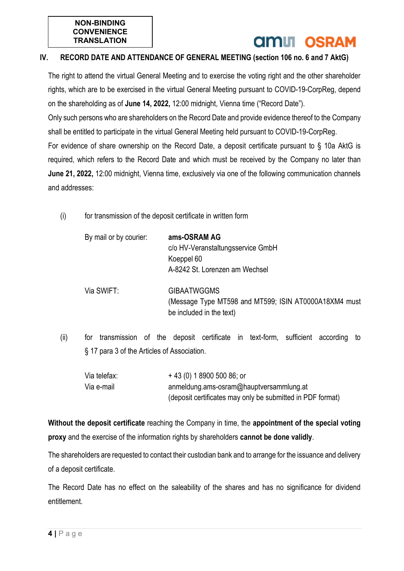## **AMIT OSRAM**

### **IV. RECORD DATE AND ATTENDANCE OF GENERAL MEETING (section 106 no. 6 and 7 AktG)**

The right to attend the virtual General Meeting and to exercise the voting right and the other shareholder rights, which are to be exercised in the virtual General Meeting pursuant to COVID-19-CorpReg, depend on the shareholding as of **June 14, 2022,** 12:00 midnight, Vienna time ("Record Date").

Only such persons who are shareholders on the Record Date and provide evidence thereof to the Company shall be entitled to participate in the virtual General Meeting held pursuant to COVID-19-CorpReg. For evidence of share ownership on the Record Date, a deposit certificate pursuant to § 10a AktG is required, which refers to the Record Date and which must be received by the Company no later than **June 21, 2022,** 12:00 midnight, Vienna time, exclusively via one of the following communication channels

and addresses:

(i) for transmission of the deposit certificate in written form

| By mail or by courier: | ams-OSRAM AG<br>c/o HV-Veranstaltungsservice GmbH<br>Koeppel 60<br>A-8242 St. Lorenzen am Wechsel       |
|------------------------|---------------------------------------------------------------------------------------------------------|
| Via SWIFT:             | <b>GIBAATWGGMS</b><br>(Message Type MT598 and MT599; ISIN AT0000A18XM4 must<br>be included in the text) |

(ii) for transmission of the deposit certificate in text-form, sufficient according to § 17 para 3 of the Articles of Association.

| Via telefax: | $+43(0)$ 1 8900 500 86; or                                 |
|--------------|------------------------------------------------------------|
| Via e-mail   | anmeldung.ams-osram@hauptversammlung.at                    |
|              | (deposit certificates may only be submitted in PDF format) |

**Without the deposit certificate** reaching the Company in time, the **appointment of the special voting proxy** and the exercise of the information rights by shareholders **cannot be done validly**.

The shareholders are requested to contact their custodian bank and to arrange for the issuance and delivery of a deposit certificate.

The Record Date has no effect on the saleability of the shares and has no significance for dividend entitlement.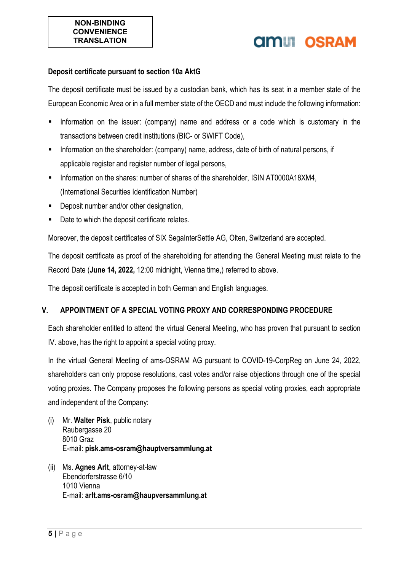# **AMIT OSRAM**

#### **Deposit certificate pursuant to section 10a AktG**

The deposit certificate must be issued by a custodian bank, which has its seat in a member state of the European Economic Area or in a full member state of the OECD and must include the following information:

- Information on the issuer: (company) name and address or a code which is customary in the transactions between credit institutions (BIC- or SWIFT Code),
- **Information on the shareholder: (company) name, address, date of birth of natural persons, if** applicable register and register number of legal persons,
- Information on the shares: number of shares of the shareholder, ISIN AT0000A18XM4, (International Securities Identification Number)
- Deposit number and/or other designation,
- Date to which the deposit certificate relates.

Moreover, the deposit certificates of SIX SegaInterSettle AG, Olten, Switzerland are accepted.

The deposit certificate as proof of the shareholding for attending the General Meeting must relate to the Record Date (**June 14, 2022,** 12:00 midnight, Vienna time,) referred to above.

The deposit certificate is accepted in both German and English languages.

#### **V. APPOINTMENT OF A SPECIAL VOTING PROXY AND CORRESPONDING PROCEDURE**

Each shareholder entitled to attend the virtual General Meeting, who has proven that pursuant to section IV. above, has the right to appoint a special voting proxy.

In the virtual General Meeting of ams-OSRAM AG pursuant to COVID-19-CorpReg on June 24, 2022, shareholders can only propose resolutions, cast votes and/or raise objections through one of the special voting proxies. The Company proposes the following persons as special voting proxies, each appropriate and independent of the Company:

- (i) Mr. **Walter Pisk**, public notary Raubergasse 20 8010 Graz E-mail: **pisk.ams-osram@hauptversammlung.at**
- (ii) Ms. **Agnes Arlt**, attorney-at-law Ebendorferstrasse 6/10 1010 Vienna E-mail: **arlt.ams-osram@haupversammlung.at**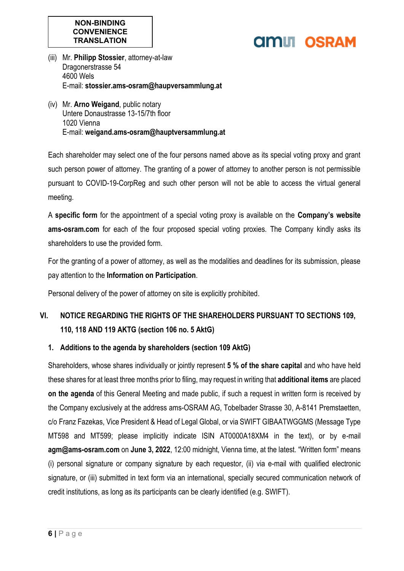# **AMILI OSRAM**

- (iii) Mr. **Philipp Stossier**, attorney-at-law Dragonerstrasse 54 4600 Wels E-mail: **stossier.ams-osram@haupversammlung.at**
- (iv) Mr. **Arno Weigand**, public notary Untere Donaustrasse 13-15/7th floor 1020 Vienna E-mail: **weigand.ams-osram@hauptversammlung.at**

Each shareholder may select one of the four persons named above as its special voting proxy and grant such person power of attorney. The granting of a power of attorney to another person is not permissible pursuant to COVID-19-CorpReg and such other person will not be able to access the virtual general meeting.

A **specific form** for the appointment of a special voting proxy is available on the **Company's website ams-osram.com** for each of the four proposed special voting proxies. The Company kindly asks its shareholders to use the provided form.

For the granting of a power of attorney, as well as the modalities and deadlines for its submission, please pay attention to the **Information on Participation**.

Personal delivery of the power of attorney on site is explicitly prohibited.

### **VI. NOTICE REGARDING THE RIGHTS OF THE SHAREHOLDERS PURSUANT TO SECTIONS 109, 110, 118 AND 119 AKTG (section 106 no. 5 AktG)**

### **1. Additions to the agenda by shareholders (section 109 AktG)**

Shareholders, whose shares individually or jointly represent **5 % of the share capital** and who have held these shares for at least three months prior to filing, may request in writing that **additional items** are placed **on the agenda** of this General Meeting and made public, if such a request in written form is received by the Company exclusively at the address ams-OSRAM AG, Tobelbader Strasse 30, A-8141 Premstaetten, c/o Franz Fazekas, Vice President & Head of Legal Global, or via SWIFT GIBAATWGGMS (Message Type MT598 and MT599; please implicitly indicate ISIN AT0000A18XM4 in the text), or by e-mail **agm@ams-osram.com** on **June 3, 2022**, 12:00 midnight, Vienna time, at the latest. "Written form" means (i) personal signature or company signature by each requestor, (ii) via e-mail with qualified electronic signature, or (iii) submitted in text form via an international, specially secured communication network of credit institutions, as long as its participants can be clearly identified (e.g. SWIFT).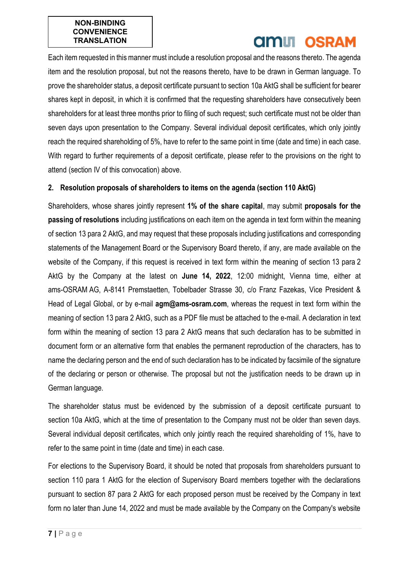# **AMIT OSRAM**

Each item requested in this manner must include a resolution proposal and the reasons thereto. The agenda item and the resolution proposal, but not the reasons thereto, have to be drawn in German language. To prove the shareholder status, a deposit certificate pursuant to section 10a AktG shall be sufficient for bearer shares kept in deposit, in which it is confirmed that the requesting shareholders have consecutively been shareholders for at least three months prior to filing of such request; such certificate must not be older than seven days upon presentation to the Company. Several individual deposit certificates, which only jointly reach the required shareholding of 5%, have to refer to the same point in time (date and time) in each case. With regard to further requirements of a deposit certificate, please refer to the provisions on the right to attend (section IV of this convocation) above.

### **2. Resolution proposals of shareholders to items on the agenda (section 110 AktG)**

Shareholders, whose shares jointly represent **1% of the share capital**, may submit **proposals for the passing of resolutions** including justifications on each item on the agenda in text form within the meaning of section 13 para 2 AktG, and may request that these proposals including justifications and corresponding statements of the Management Board or the Supervisory Board thereto, if any, are made available on the website of the Company, if this request is received in text form within the meaning of section 13 para 2 AktG by the Company at the latest on **June 14, 2022**, 12:00 midnight, Vienna time, either at ams-OSRAM AG, A-8141 Premstaetten, Tobelbader Strasse 30, c/o Franz Fazekas, Vice President & Head of Legal Global, or by e-mail **agm@ams-osram.com**, whereas the request in text form within the meaning of section 13 para 2 AktG, such as a PDF file must be attached to the e-mail. A declaration in text form within the meaning of section 13 para 2 AktG means that such declaration has to be submitted in document form or an alternative form that enables the permanent reproduction of the characters, has to name the declaring person and the end of such declaration has to be indicated by facsimile of the signature of the declaring or person or otherwise. The proposal but not the justification needs to be drawn up in German language.

The shareholder status must be evidenced by the submission of a deposit certificate pursuant to section 10a AktG, which at the time of presentation to the Company must not be older than seven days. Several individual deposit certificates, which only jointly reach the required shareholding of 1%, have to refer to the same point in time (date and time) in each case.

For elections to the Supervisory Board, it should be noted that proposals from shareholders pursuant to section 110 para 1 AktG for the election of Supervisory Board members together with the declarations pursuant to section 87 para 2 AktG for each proposed person must be received by the Company in text form no later than June 14, 2022 and must be made available by the Company on the Company's website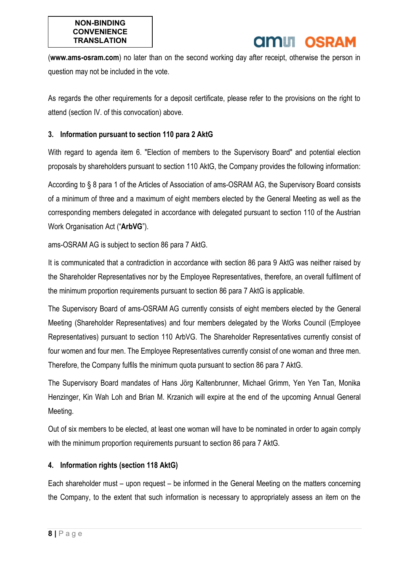## **AMIT OSRAM**

(**www.ams-osram.com**) no later than on the second working day after receipt, otherwise the person in question may not be included in the vote.

As regards the other requirements for a deposit certificate, please refer to the provisions on the right to attend (section IV. of this convocation) above.

#### **3. Information pursuant to section 110 para 2 AktG**

With regard to agenda item 6. "Election of members to the Supervisory Board" and potential election proposals by shareholders pursuant to section 110 AktG, the Company provides the following information:

According to § 8 para 1 of the Articles of Association of ams-OSRAM AG, the Supervisory Board consists of a minimum of three and a maximum of eight members elected by the General Meeting as well as the corresponding members delegated in accordance with delegated pursuant to section 110 of the Austrian Work Organisation Act ("**ArbVG**").

ams-OSRAM AG is subject to section 86 para 7 AktG.

It is communicated that a contradiction in accordance with section 86 para 9 AktG was neither raised by the Shareholder Representatives nor by the Employee Representatives, therefore, an overall fulfilment of the minimum proportion requirements pursuant to section 86 para 7 AktG is applicable.

The Supervisory Board of ams-OSRAM AG currently consists of eight members elected by the General Meeting (Shareholder Representatives) and four members delegated by the Works Council (Employee Representatives) pursuant to section 110 ArbVG. The Shareholder Representatives currently consist of four women and four men. The Employee Representatives currently consist of one woman and three men. Therefore, the Company fulfils the minimum quota pursuant to section 86 para 7 AktG.

The Supervisory Board mandates of Hans Jörg Kaltenbrunner, Michael Grimm, Yen Yen Tan, Monika Henzinger, Kin Wah Loh and Brian M. Krzanich will expire at the end of the upcoming Annual General Meeting.

Out of six members to be elected, at least one woman will have to be nominated in order to again comply with the minimum proportion requirements pursuant to section 86 para 7 AktG.

#### **4. Information rights (section 118 AktG)**

Each shareholder must – upon request – be informed in the General Meeting on the matters concerning the Company, to the extent that such information is necessary to appropriately assess an item on the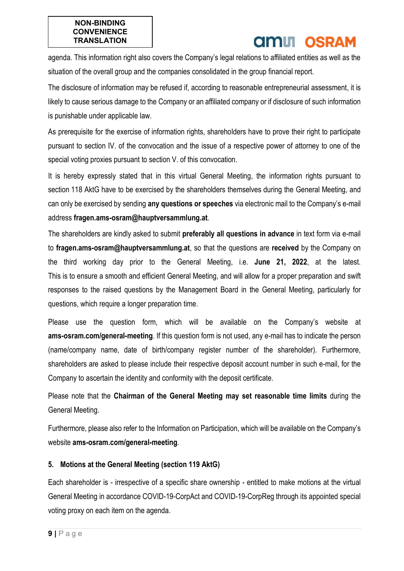# **AMIT OSRAM**

agenda. This information right also covers the Company's legal relations to affiliated entities as well as the situation of the overall group and the companies consolidated in the group financial report.

The disclosure of information may be refused if, according to reasonable entrepreneurial assessment, it is likely to cause serious damage to the Company or an affiliated company or if disclosure of such information is punishable under applicable law.

As prerequisite for the exercise of information rights, shareholders have to prove their right to participate pursuant to section IV. of the convocation and the issue of a respective power of attorney to one of the special voting proxies pursuant to section V. of this convocation.

It is hereby expressly stated that in this virtual General Meeting, the information rights pursuant to section 118 AktG have to be exercised by the shareholders themselves during the General Meeting, and can only be exercised by sending **any questions or speeches** via electronic mail to the Company's e-mail address **fragen.ams-osram@hauptversammlung.at**.

The shareholders are kindly asked to submit **preferably all questions in advance** in text form via e-mail to **fragen.ams-osram@hauptversammlung.at**, so that the questions are **received** by the Company on the third working day prior to the General Meeting, i.e. **June 21, 2022**, at the latest. This is to ensure a smooth and efficient General Meeting, and will allow for a proper preparation and swift responses to the raised questions by the Management Board in the General Meeting, particularly for questions, which require a longer preparation time.

Please use the question form, which will be available on the Company's website at **ams-osram.com/general-meeting**. If this question form is not used, any e-mail has to indicate the person (name/company name, date of birth/company register number of the shareholder). Furthermore, shareholders are asked to please include their respective deposit account number in such e-mail, for the Company to ascertain the identity and conformity with the deposit certificate.

Please note that the **Chairman of the General Meeting may set reasonable time limits** during the General Meeting.

Furthermore, please also refer to the Information on Participation, which will be available on the Company's website **ams-osram.com/general-meeting**.

### **5. Motions at the General Meeting (section 119 AktG)**

Each shareholder is - irrespective of a specific share ownership - entitled to make motions at the virtual General Meeting in accordance COVID-19-CorpAct and COVID-19-CorpReg through its appointed special voting proxy on each item on the agenda.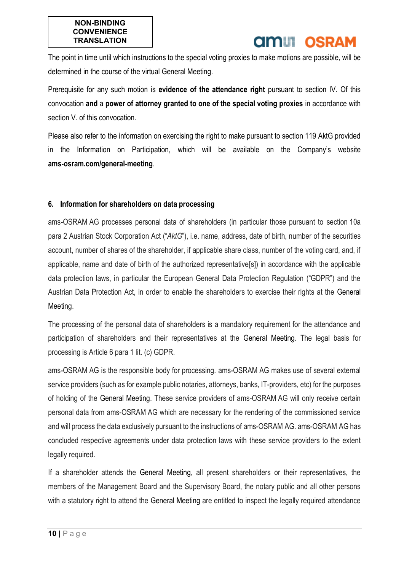# **amili osram**

The point in time until which instructions to the special voting proxies to make motions are possible, will be determined in the course of the virtual General Meeting.

Prerequisite for any such motion is **evidence of the attendance right** pursuant to section IV. Of this convocation **and** a **power of attorney granted to one of the special voting proxies** in accordance with section V. of this convocation.

Please also refer to the information on exercising the right to make pursuant to section 119 AktG provided in the Information on Participation, which will be available on the Company's website **ams-osram.com/general-meeting**.

#### **6. Information for shareholders on data processing**

ams-OSRAM AG processes personal data of shareholders (in particular those pursuant to section 10a para 2 Austrian Stock Corporation Act ("*AktG*"), i.e. name, address, date of birth, number of the securities account, number of shares of the shareholder, if applicable share class, number of the voting card, and, if applicable, name and date of birth of the authorized representative[s]) in accordance with the applicable data protection laws, in particular the European General Data Protection Regulation ("GDPR") and the Austrian Data Protection Act, in order to enable the shareholders to exercise their rights at the General Meeting.

The processing of the personal data of shareholders is a mandatory requirement for the attendance and participation of shareholders and their representatives at the General Meeting. The legal basis for processing is Article 6 para 1 lit. (c) GDPR.

ams-OSRAM AG is the responsible body for processing. ams-OSRAM AG makes use of several external service providers (such as for example public notaries, attorneys, banks, IT-providers, etc) for the purposes of holding of the General Meeting. These service providers of ams-OSRAM AG will only receive certain personal data from ams-OSRAM AG which are necessary for the rendering of the commissioned service and will process the data exclusively pursuant to the instructions of ams-OSRAM AG. ams-OSRAM AG has concluded respective agreements under data protection laws with these service providers to the extent legally required.

If a shareholder attends the General Meeting, all present shareholders or their representatives, the members of the Management Board and the Supervisory Board, the notary public and all other persons with a statutory right to attend the General Meeting are entitled to inspect the legally required attendance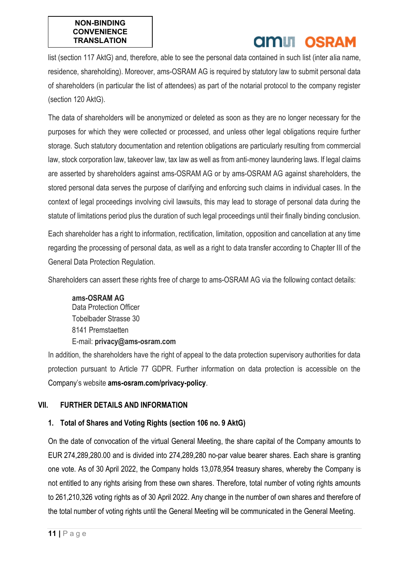# **AMIT OSRAM**

list (section 117 AktG) and, therefore, able to see the personal data contained in such list (inter alia name, residence, shareholding). Moreover, ams-OSRAM AG is required by statutory law to submit personal data of shareholders (in particular the list of attendees) as part of the notarial protocol to the company register (section 120 AktG).

The data of shareholders will be anonymized or deleted as soon as they are no longer necessary for the purposes for which they were collected or processed, and unless other legal obligations require further storage. Such statutory documentation and retention obligations are particularly resulting from commercial law, stock corporation law, takeover law, tax law as well as from anti-money laundering laws. If legal claims are asserted by shareholders against ams-OSRAM AG or by ams-OSRAM AG against shareholders, the stored personal data serves the purpose of clarifying and enforcing such claims in individual cases. In the context of legal proceedings involving civil lawsuits, this may lead to storage of personal data during the statute of limitations period plus the duration of such legal proceedings until their finally binding conclusion.

Each shareholder has a right to information, rectification, limitation, opposition and cancellation at any time regarding the processing of personal data, as well as a right to data transfer according to Chapter III of the General Data Protection Regulation.

Shareholders can assert these rights free of charge to ams-OSRAM AG via the following contact details:

**ams-OSRAM AG** Data Protection Officer Tobelbader Strasse 30 8141 Premstaetten E-mail: **privacy@ams-osram.com**

In addition, the shareholders have the right of appeal to the data protection supervisory authorities for data protection pursuant to Article 77 GDPR. Further information on data protection is accessible on the Company's website **ams-osram.com/privacy-policy**.

### **VII. FURTHER DETAILS AND INFORMATION**

### **1. Total of Shares and Voting Rights (section 106 no. 9 AktG)**

On the date of convocation of the virtual General Meeting, the share capital of the Company amounts to EUR 274,289,280.00 and is divided into 274,289,280 no-par value bearer shares. Each share is granting one vote. As of 30 April 2022, the Company holds 13,078,954 treasury shares, whereby the Company is not entitled to any rights arising from these own shares. Therefore, total number of voting rights amounts to 261,210,326 voting rights as of 30 April 2022. Any change in the number of own shares and therefore of the total number of voting rights until the General Meeting will be communicated in the General Meeting.